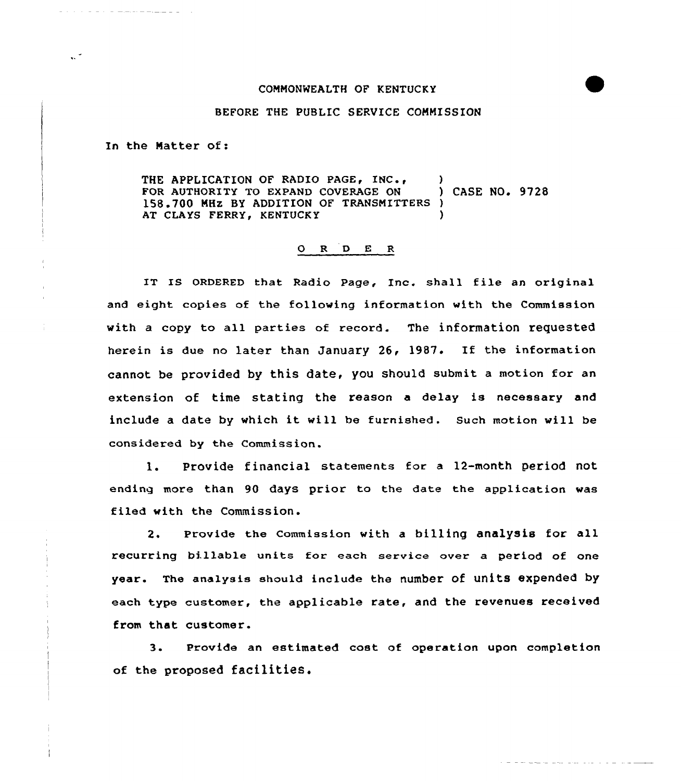## COMMONWEALTH OF KENTUCKY

## BEFORE THE PUBLIC SERVICE COMMISSION

In the Matter of:

<u>a de la compagnie la la c</u>o

 $\sim$ 

THE APPLICATION OF RADIO PAGE, INC., (a)<br>FOR AUTHORITY TO EXPAND COVERAGE ON (ASE NO. 9728) FOR AUTHORITY TO EXPAND COVERAGE ON 158.700 MHZ BY ADDITION OF TRANSMITTERS ) AT CLAYS FERRY, KENTUCKY

## 0 <sup>R</sup> <sup>D</sup> E <sup>R</sup>

IT IS ORDERED that Radio Page, Inc. shall file an original and eight copies of the following information with the Commission with a copy to all parties of record. The information requested herein is due no later than January 26, 1987. If the information cannot be provided by this date, you should submit a motion for an extension of time stating the reason <sup>a</sup> delay is necessary and include <sup>a</sup> date by which it will be furnished . Such motion will be considered by the Commission.

1. Provide financial statements for <sup>a</sup> 12-month period not ending more than 90 days prior to the date the application was filed with the Commission.

2. Provide the Commission with <sup>a</sup> bi11ing analysis for all recurring billable units for each service over a period of one year. The analysis should include the number of units expended by each type customer, the applicable rate, and the revenues received from that customer.

3. Provide an estimated cost of operation upon completion of the proposed facilitieS.